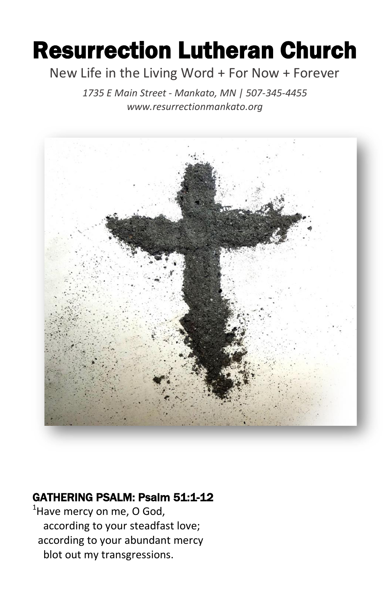# Resurrection Lutheran Church

### New Life in the Living Word + For Now + Forever

*1735 E Main Street - Mankato, MN | 507-345-4455 [www.resurrectionmankato.org](http://www.resurrectionmankato.org/)*



### GATHERING PSALM: Psalm 51:1-12

 $<sup>1</sup>$ Have mercy on me, O God,</sup> according to your steadfast love; according to your abundant mercy blot out my transgressions.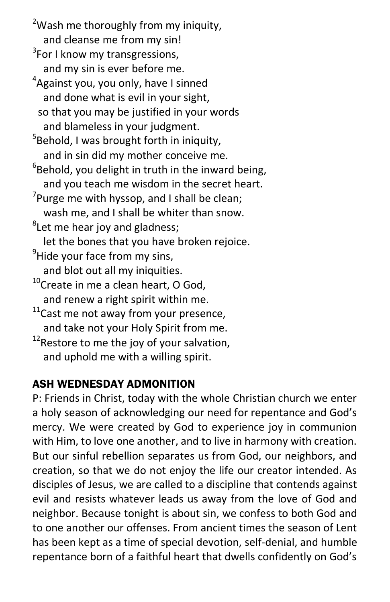$2$ Wash me thoroughly from my iniquity, and cleanse me from my sin!

- <sup>3</sup>For I know my transgressions, and my sin is ever before me.
- <sup>4</sup>Against you, you only, have I sinned and done what is evil in your sight, so that you may be justified in your words and blameless in your judgment.

<sup>5</sup>Behold, I was brought forth in iniquity, and in sin did my mother conceive me.

- ${}^{6}$ Behold, you delight in truth in the inward being, and you teach me wisdom in the secret heart.
- $\sigma$ Purge me with hyssop, and I shall be clean; wash me, and I shall be whiter than snow.
- <sup>8</sup>Let me hear joy and gladness;

let the bones that you have broken rejoice.

 $9$ Hide your face from my sins,

and blot out all my iniquities.

- $10$ Create in me a clean heart, O God, and renew a right spirit within me.
- $11$ Cast me not away from your presence,
- and take not your Holy Spirit from me.
- $12$ Restore to me the joy of your salvation, and uphold me with a willing spirit.

### ASH WEDNESDAY ADMONITION

P: Friends in Christ, today with the whole Christian church we enter a holy season of acknowledging our need for repentance and God's mercy. We were created by God to experience joy in communion with Him, to love one another, and to live in harmony with creation. But our sinful rebellion separates us from God, our neighbors, and creation, so that we do not enjoy the life our creator intended. As disciples of Jesus, we are called to a discipline that contends against evil and resists whatever leads us away from the love of God and neighbor. Because tonight is about sin, we confess to both God and to one another our offenses. From ancient times the season of Lent has been kept as a time of special devotion, self-denial, and humble repentance born of a faithful heart that dwells confidently on God's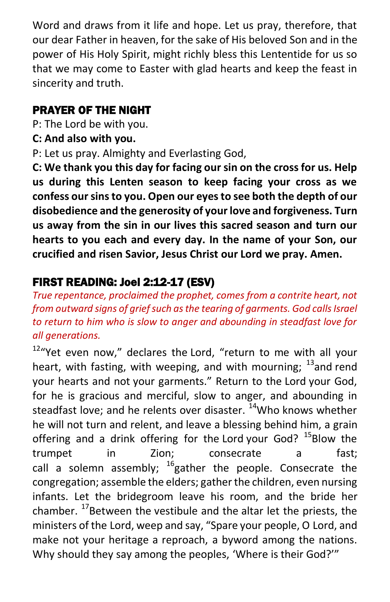Word and draws from it life and hope. Let us pray, therefore, that our dear Father in heaven, for the sake of His beloved Son and in the power of His Holy Spirit, might richly bless this Lententide for us so that we may come to Easter with glad hearts and keep the feast in sincerity and truth.

### PRAYER OF THE NIGHT

P: The Lord be with you.

**C: And also with you.**

P: Let us pray. Almighty and Everlasting God,

**C: We thank you this day for facing our sin on the cross for us. Help us during this Lenten season to keep facing your cross as we confess our sins to you. Open our eyes to see both the depth of our disobedience and the generosity of your love and forgiveness. Turn us away from the sin in our lives this sacred season and turn our hearts to you each and every day. In the name of your Son, our crucified and risen Savior, Jesus Christ our Lord we pray. Amen.** 

### FIRST READING: Joel 2:12-17 (ESV)

*True repentance, proclaimed the prophet, comes from a contrite heart, not from outward signs of grief such as the tearing of garments. God calls Israel to return to him who is slow to anger and abounding in steadfast love for all generations.* 

 $12\%$ Yet even now," declares the Lord, "return to me with all your heart, with fasting, with weeping, and with mourning;  $^{13}$  and rend your hearts and not your garments." Return to the Lord your God, for he is gracious and merciful, slow to anger, and abounding in steadfast love; and he relents over disaster. <sup>14</sup>Who knows whether he will not turn and relent, and leave a blessing behind him, a grain offering and a drink offering for the Lord your God?  $^{15}$ Blow the trumpet in Zion; consecrate a fast; call a solemn assembly;  $^{16}$ gather the people. Consecrate the congregation; assemble the elders; gather the children, even nursing infants. Let the bridegroom leave his room, and the bride her chamber.  $^{17}$ Between the vestibule and the altar let the priests, the ministers of the Lord, weep and say, "Spare your people, O Lord, and make not your heritage a reproach, a byword among the nations. Why should they say among the peoples, 'Where is their God?'"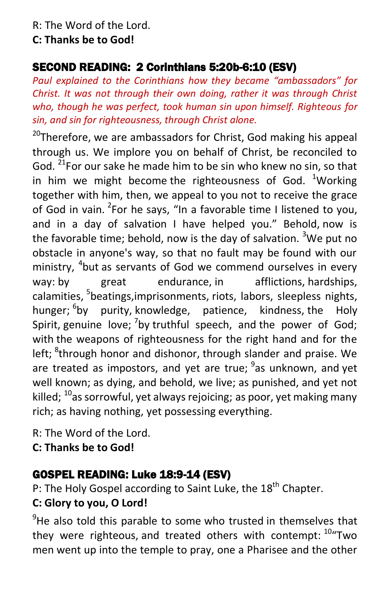R: The Word of the Lord.

#### **C: Thanks be to God!**

### SECOND READING: 2 Corinthians 5:20b-6:10 (ESV)

*Paul explained to the Corinthians how they became "ambassadors" for Christ. It was not through their own doing, rather it was through Christ who, though he was perfect, took human sin upon himself. Righteous for sin, and sin for righteousness, through Christ alone.* 

 $20$ Therefore, we are ambassadors for Christ, God making his appeal through us. We implore you on behalf of Christ, be reconciled to God. <sup>21</sup>For our sake he made him to be sin who knew no sin, so that in him we might become the righteousness of God.  $1$ Working together with him, then, we appeal to you not to receive the grace of God in vain. <sup>2</sup>For he says, "In a favorable time I listened to you, and in a day of salvation I have helped you." Behold, now is the favorable time; behold, now is the day of salvation. <sup>3</sup>We put no obstacle in anyone's way, so that no fault may be found with our ministry, <sup>4</sup>but as servants of God we commend ourselves in every way: by great endurance, in afflictions, hardships, calamities, <sup>5</sup>beatings,imprisonments, riots, labors, sleepless nights, hunger; <sup>6</sup>by purity, knowledge, patience, kindness, the Holy Spirit, genuine love;  $\frac{7}{2}$ by truthful speech, and the power of God; with the weapons of righteousness for the right hand and for the left; <sup>8</sup>through honor and dishonor, through slander and praise. We are treated as impostors, and yet are true; <sup>9</sup>as unknown, and yet well known; as dying, and behold, we live; as punished, and yet not killed;  $^{10}$ as sorrowful, yet always rejoicing; as poor, yet making many rich; as having nothing, yet possessing everything.

R: The Word of the Lord.

**C: Thanks be to God!** 

### GOSPEL READING: Luke 18:9-14 (ESV)

P: The Holy Gospel according to Saint Luke, the  $18<sup>th</sup>$  Chapter.

### **C: Glory to you, O Lord!**

 $9^9$ He also told this parable to some who trusted in themselves that they were righteous, and treated others with contempt: <sup>10</sup> Two men went up into the temple to pray, one a Pharisee and the other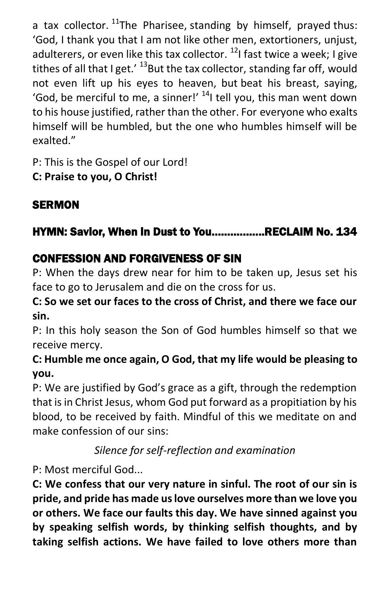a tax collector.  $^{11}$ The Pharisee, standing by himself, prayed thus: 'God, I thank you that I am not like other men, extortioners, unjust, adulterers, or even like this tax collector.  $^{12}$ I fast twice a week; I give tithes of all that I get.'  $^{13}$ But the tax collector, standing far off, would not even lift up his eyes to heaven, but beat his breast, saying, 'God, be merciful to me, a sinner!'  $<sup>14</sup>$ I tell you, this man went down</sup> to his house justified, rather than the other. For everyone who exalts himself will be humbled, but the one who humbles himself will be exalted."

P: This is the Gospel of our Lord!

**C: Praise to you, O Christ!** 

# **SERMON**

# HYMN: Savior, When in Dust to You……………..RECLAIM No. 134

## CONFESSION AND FORGIVENESS OF SIN

P: When the days drew near for him to be taken up, Jesus set his face to go to Jerusalem and die on the cross for us.

### **C: So we set our faces to the cross of Christ, and there we face our sin.**

P: In this holy season the Son of God humbles himself so that we receive mercy.

### **C: Humble me once again, O God, that my life would be pleasing to you.**

P: We are justified by God's grace as a gift, through the redemption that is in Christ Jesus, whom God put forward as a propitiation by his blood, to be received by faith. Mindful of this we meditate on and make confession of our sins:

*Silence for self-reflection and examination*

P: Most merciful God...

**C: We confess that our very nature in sinful. The root of our sin is pride, and pride has made us love ourselves more than we love you or others. We face our faults this day. We have sinned against you by speaking selfish words, by thinking selfish thoughts, and by taking selfish actions. We have failed to love others more than**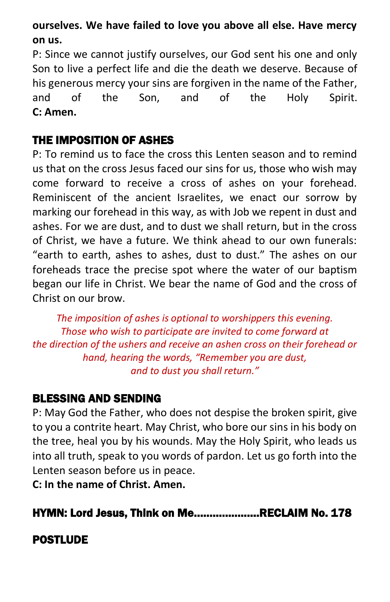### **ourselves. We have failed to love you above all else. Have mercy on us.**

P: Since we cannot justify ourselves, our God sent his one and only Son to live a perfect life and die the death we deserve. Because of his generous mercy your sins are forgiven in the name of the Father, and of the Son, and of the Holy Spirit. **C: Amen.**

#### THE IMPOSITION OF ASHES

P: To remind us to face the cross this Lenten season and to remind us that on the cross Jesus faced our sins for us, those who wish may come forward to receive a cross of ashes on your forehead. Reminiscent of the ancient Israelites, we enact our sorrow by marking our forehead in this way, as with Job we repent in dust and ashes. For we are dust, and to dust we shall return, but in the cross of Christ, we have a future. We think ahead to our own funerals: "earth to earth, ashes to ashes, dust to dust." The ashes on our foreheads trace the precise spot where the water of our baptism began our life in Christ. We bear the name of God and the cross of Christ on our brow.

*The imposition of ashes is optional to worshippers this evening. Those who wish to participate are invited to come forward at the direction of the ushers and receive an ashen cross on their forehead or hand, hearing the words, "Remember you are dust, and to dust you shall return."*

### BLESSING AND SENDING

P: May God the Father, who does not despise the broken spirit, give to you a contrite heart. May Christ, who bore our sins in his body on the tree, heal you by his wounds. May the Holy Spirit, who leads us into all truth, speak to you words of pardon. Let us go forth into the Lenten season before us in peace.

**C: In the name of Christ. Amen.**

HYMN: Lord Jesus, Think on Me…………………RECLAIM No. 178

### POSTLUDE